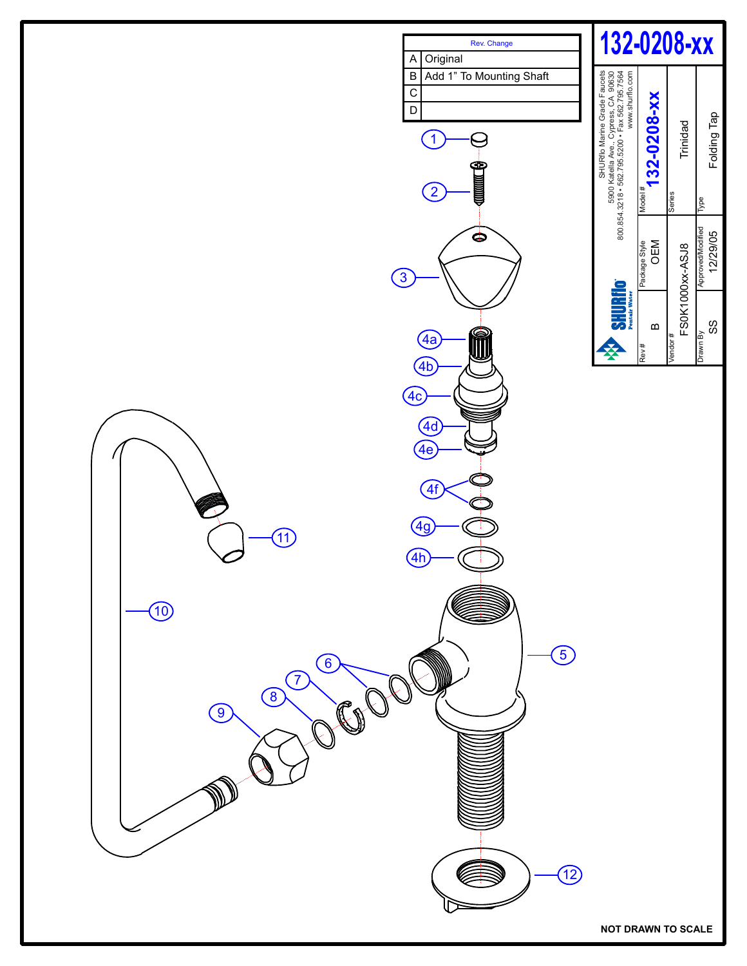